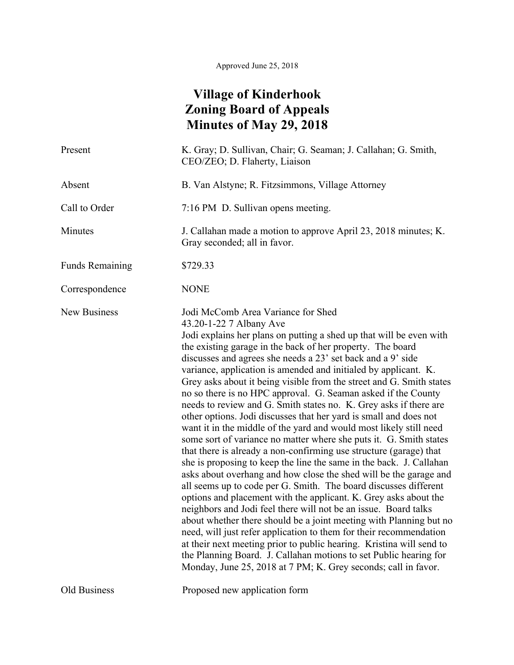## **Village of Kinderhook Zoning Board of Appeals Minutes of May 29, 2018**

| Present                | K. Gray; D. Sullivan, Chair; G. Seaman; J. Callahan; G. Smith,<br>CEO/ZEO; D. Flaherty, Liaison                                                                                                                                                                                                                                                                                                                                                                                                                                                                                                                                                                                                                                                                                                                                                                                                                                                                                                                                                                                                                                                                                                                                                                                                                                                                                                                                                                                                                                                             |
|------------------------|-------------------------------------------------------------------------------------------------------------------------------------------------------------------------------------------------------------------------------------------------------------------------------------------------------------------------------------------------------------------------------------------------------------------------------------------------------------------------------------------------------------------------------------------------------------------------------------------------------------------------------------------------------------------------------------------------------------------------------------------------------------------------------------------------------------------------------------------------------------------------------------------------------------------------------------------------------------------------------------------------------------------------------------------------------------------------------------------------------------------------------------------------------------------------------------------------------------------------------------------------------------------------------------------------------------------------------------------------------------------------------------------------------------------------------------------------------------------------------------------------------------------------------------------------------------|
| Absent                 | B. Van Alstyne; R. Fitzsimmons, Village Attorney                                                                                                                                                                                                                                                                                                                                                                                                                                                                                                                                                                                                                                                                                                                                                                                                                                                                                                                                                                                                                                                                                                                                                                                                                                                                                                                                                                                                                                                                                                            |
| Call to Order          | 7:16 PM D. Sullivan opens meeting.                                                                                                                                                                                                                                                                                                                                                                                                                                                                                                                                                                                                                                                                                                                                                                                                                                                                                                                                                                                                                                                                                                                                                                                                                                                                                                                                                                                                                                                                                                                          |
| Minutes                | J. Callahan made a motion to approve April 23, 2018 minutes; K.<br>Gray seconded; all in favor.                                                                                                                                                                                                                                                                                                                                                                                                                                                                                                                                                                                                                                                                                                                                                                                                                                                                                                                                                                                                                                                                                                                                                                                                                                                                                                                                                                                                                                                             |
| <b>Funds Remaining</b> | \$729.33                                                                                                                                                                                                                                                                                                                                                                                                                                                                                                                                                                                                                                                                                                                                                                                                                                                                                                                                                                                                                                                                                                                                                                                                                                                                                                                                                                                                                                                                                                                                                    |
| Correspondence         | <b>NONE</b>                                                                                                                                                                                                                                                                                                                                                                                                                                                                                                                                                                                                                                                                                                                                                                                                                                                                                                                                                                                                                                                                                                                                                                                                                                                                                                                                                                                                                                                                                                                                                 |
| <b>New Business</b>    | Jodi McComb Area Variance for Shed<br>43.20-1-22 7 Albany Ave<br>Jodi explains her plans on putting a shed up that will be even with<br>the existing garage in the back of her property. The board<br>discusses and agrees she needs a 23' set back and a 9' side<br>variance, application is amended and initialed by applicant. K.<br>Grey asks about it being visible from the street and G. Smith states<br>no so there is no HPC approval. G. Seaman asked if the County<br>needs to review and G. Smith states no. K. Grey asks if there are<br>other options. Jodi discusses that her yard is small and does not<br>want it in the middle of the yard and would most likely still need<br>some sort of variance no matter where she puts it. G. Smith states<br>that there is already a non-confirming use structure (garage) that<br>she is proposing to keep the line the same in the back. J. Callahan<br>asks about overhang and how close the shed will be the garage and<br>all seems up to code per G. Smith. The board discusses different<br>options and placement with the applicant. K. Grey asks about the<br>neighbors and Jodi feel there will not be an issue. Board talks<br>about whether there should be a joint meeting with Planning but no<br>need, will just refer application to them for their recommendation<br>at their next meeting prior to public hearing. Kristina will send to<br>the Planning Board. J. Callahan motions to set Public hearing for<br>Monday, June 25, 2018 at 7 PM; K. Grey seconds; call in favor. |
| Old Business           | Proposed new application form                                                                                                                                                                                                                                                                                                                                                                                                                                                                                                                                                                                                                                                                                                                                                                                                                                                                                                                                                                                                                                                                                                                                                                                                                                                                                                                                                                                                                                                                                                                               |